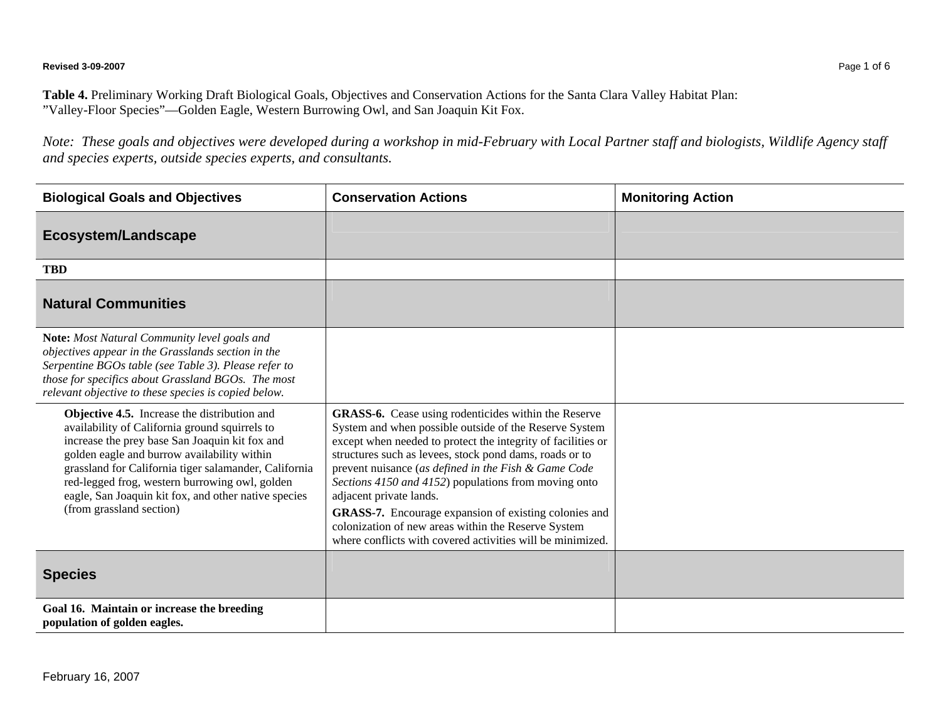**Revised 3-09-2007** Page 1 of 6

**Table 4.** Preliminary Working Draft Biological Goals, Objectives and Conservation Actions for the Santa Clara Valley Habitat Plan: "Valley-Floor Species"—Golden Eagle, Western Burrowing Owl, and San Joaquin Kit Fox.

*Note: These goals and objectives were developed during a workshop in mid-February with Local Partner staff and biologists, Wildlife Agency staff and species experts, outside species experts, and consultants.* 

| <b>Biological Goals and Objectives</b>                                                                                                                                                                                                                                                                                                                                                         | <b>Conservation Actions</b>                                                                                                                                                                                                                                                                                                                                                                                                                                                                                                                                               | <b>Monitoring Action</b> |
|------------------------------------------------------------------------------------------------------------------------------------------------------------------------------------------------------------------------------------------------------------------------------------------------------------------------------------------------------------------------------------------------|---------------------------------------------------------------------------------------------------------------------------------------------------------------------------------------------------------------------------------------------------------------------------------------------------------------------------------------------------------------------------------------------------------------------------------------------------------------------------------------------------------------------------------------------------------------------------|--------------------------|
| <b>Ecosystem/Landscape</b>                                                                                                                                                                                                                                                                                                                                                                     |                                                                                                                                                                                                                                                                                                                                                                                                                                                                                                                                                                           |                          |
| <b>TBD</b>                                                                                                                                                                                                                                                                                                                                                                                     |                                                                                                                                                                                                                                                                                                                                                                                                                                                                                                                                                                           |                          |
| <b>Natural Communities</b>                                                                                                                                                                                                                                                                                                                                                                     |                                                                                                                                                                                                                                                                                                                                                                                                                                                                                                                                                                           |                          |
| Note: Most Natural Community level goals and<br>objectives appear in the Grasslands section in the<br>Serpentine BGOs table (see Table 3). Please refer to<br>those for specifics about Grassland BGOs. The most<br>relevant objective to these species is copied below.                                                                                                                       |                                                                                                                                                                                                                                                                                                                                                                                                                                                                                                                                                                           |                          |
| Objective 4.5. Increase the distribution and<br>availability of California ground squirrels to<br>increase the prey base San Joaquin kit fox and<br>golden eagle and burrow availability within<br>grassland for California tiger salamander, California<br>red-legged frog, western burrowing owl, golden<br>eagle, San Joaquin kit fox, and other native species<br>(from grassland section) | <b>GRASS-6.</b> Cease using rodenticides within the Reserve<br>System and when possible outside of the Reserve System<br>except when needed to protect the integrity of facilities or<br>structures such as levees, stock pond dams, roads or to<br>prevent nuisance (as defined in the Fish & Game Code<br>Sections 4150 and 4152) populations from moving onto<br>adjacent private lands.<br>GRASS-7. Encourage expansion of existing colonies and<br>colonization of new areas within the Reserve System<br>where conflicts with covered activities will be minimized. |                          |
| <b>Species</b>                                                                                                                                                                                                                                                                                                                                                                                 |                                                                                                                                                                                                                                                                                                                                                                                                                                                                                                                                                                           |                          |
| Goal 16. Maintain or increase the breeding<br>population of golden eagles.                                                                                                                                                                                                                                                                                                                     |                                                                                                                                                                                                                                                                                                                                                                                                                                                                                                                                                                           |                          |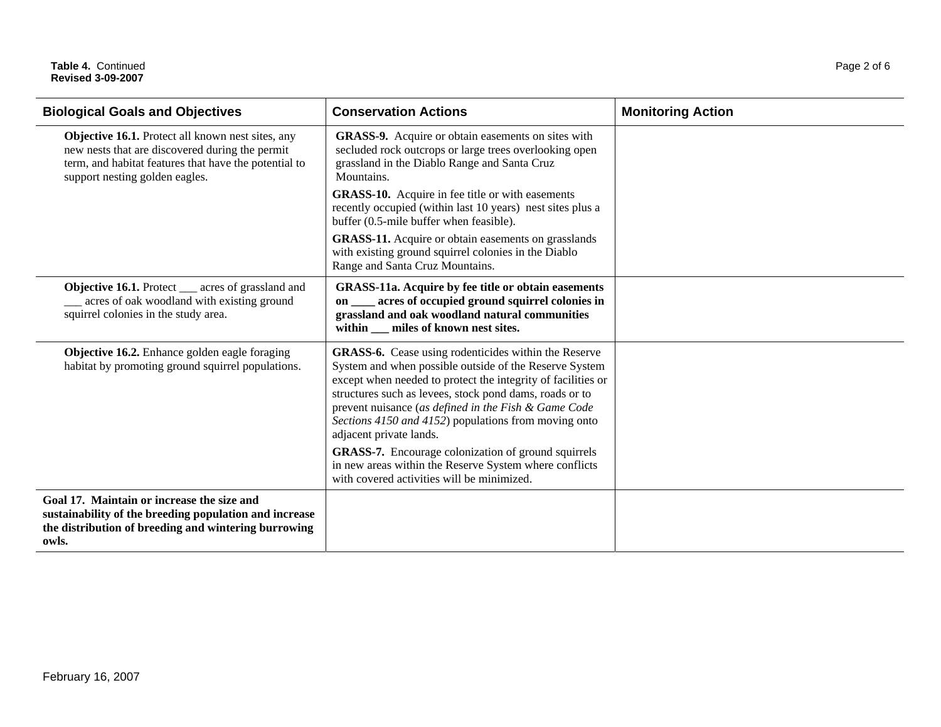## Table 4. Continued Page 2 of 6 **Revised 3-09-2007**

| <b>Biological Goals and Objectives</b>                                                                                                                                                          | <b>Conservation Actions</b>                                                                                                                                                                                                                                                                                                                                                                                                                                                                                                                                | <b>Monitoring Action</b> |
|-------------------------------------------------------------------------------------------------------------------------------------------------------------------------------------------------|------------------------------------------------------------------------------------------------------------------------------------------------------------------------------------------------------------------------------------------------------------------------------------------------------------------------------------------------------------------------------------------------------------------------------------------------------------------------------------------------------------------------------------------------------------|--------------------------|
| Objective 16.1. Protect all known nest sites, any<br>new nests that are discovered during the permit<br>term, and habitat features that have the potential to<br>support nesting golden eagles. | GRASS-9. Acquire or obtain easements on sites with<br>secluded rock outcrops or large trees overlooking open<br>grassland in the Diablo Range and Santa Cruz<br>Mountains.                                                                                                                                                                                                                                                                                                                                                                                 |                          |
|                                                                                                                                                                                                 | <b>GRASS-10.</b> Acquire in fee title or with easements<br>recently occupied (within last 10 years) nest sites plus a<br>buffer (0.5-mile buffer when feasible).                                                                                                                                                                                                                                                                                                                                                                                           |                          |
|                                                                                                                                                                                                 | <b>GRASS-11.</b> Acquire or obtain easements on grasslands<br>with existing ground squirrel colonies in the Diablo<br>Range and Santa Cruz Mountains.                                                                                                                                                                                                                                                                                                                                                                                                      |                          |
| <b>Objective 16.1.</b> Protect ___ acres of grassland and<br>acres of oak woodland with existing ground<br>squirrel colonies in the study area.                                                 | <b>GRASS-11a.</b> Acquire by fee title or obtain easements<br>acres of occupied ground squirrel colonies in<br>on<br>grassland and oak woodland natural communities<br>within miles of known nest sites.                                                                                                                                                                                                                                                                                                                                                   |                          |
| Objective 16.2. Enhance golden eagle foraging<br>habitat by promoting ground squirrel populations.                                                                                              | GRASS-6. Cease using rodenticides within the Reserve<br>System and when possible outside of the Reserve System<br>except when needed to protect the integrity of facilities or<br>structures such as levees, stock pond dams, roads or to<br>prevent nuisance (as defined in the Fish & Game Code<br>Sections 4150 and 4152) populations from moving onto<br>adjacent private lands.<br><b>GRASS-7.</b> Encourage colonization of ground squirrels<br>in new areas within the Reserve System where conflicts<br>with covered activities will be minimized. |                          |
| Goal 17. Maintain or increase the size and<br>sustainability of the breeding population and increase<br>the distribution of breeding and wintering burrowing<br>owls.                           |                                                                                                                                                                                                                                                                                                                                                                                                                                                                                                                                                            |                          |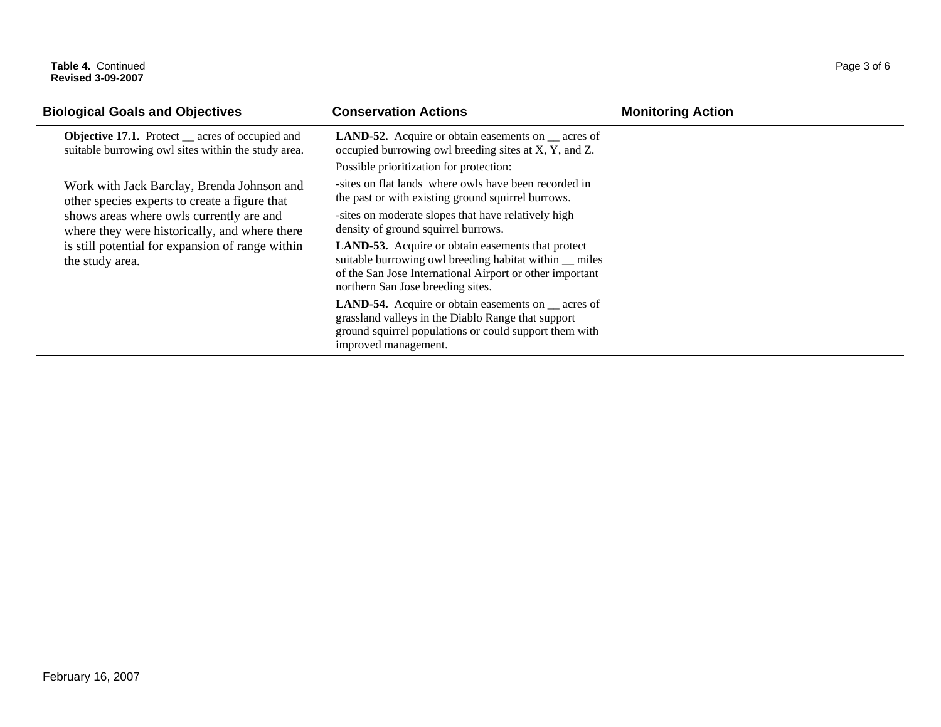## Table 4. Continued Page 3 of 6 **Revised 3-09-2007**

| <b>Biological Goals and Objectives</b>                                                                                                                                                                                                                          | <b>Conservation Actions</b>                                                                                                                                                                                         | <b>Monitoring Action</b> |
|-----------------------------------------------------------------------------------------------------------------------------------------------------------------------------------------------------------------------------------------------------------------|---------------------------------------------------------------------------------------------------------------------------------------------------------------------------------------------------------------------|--------------------------|
| <b>Objective 17.1.</b> Protect <u>exercises</u> of occupied and<br>suitable burrowing owl sites within the study area.                                                                                                                                          | <b>LAND-52.</b> Acquire or obtain easements on <u>eacnes</u> of<br>occupied burrowing owl breeding sites at X, Y, and Z.                                                                                            |                          |
|                                                                                                                                                                                                                                                                 | Possible prioritization for protection:                                                                                                                                                                             |                          |
| Work with Jack Barclay, Brenda Johnson and<br>other species experts to create a figure that<br>shows areas where owls currently are and<br>where they were historically, and where there<br>is still potential for expansion of range within<br>the study area. | -sites on flat lands where owls have been recorded in<br>the past or with existing ground squirrel burrows.                                                                                                         |                          |
|                                                                                                                                                                                                                                                                 | -sites on moderate slopes that have relatively high<br>density of ground squirrel burrows.                                                                                                                          |                          |
|                                                                                                                                                                                                                                                                 | <b>LAND-53.</b> Acquire or obtain easements that protect<br>suitable burrowing owl breeding habitat within _ miles<br>of the San Jose International Airport or other important<br>northern San Jose breeding sites. |                          |
|                                                                                                                                                                                                                                                                 | <b>LAND-54.</b> Acquire or obtain easements on __ acres of<br>grassland valleys in the Diablo Range that support<br>ground squirrel populations or could support them with<br>improved management.                  |                          |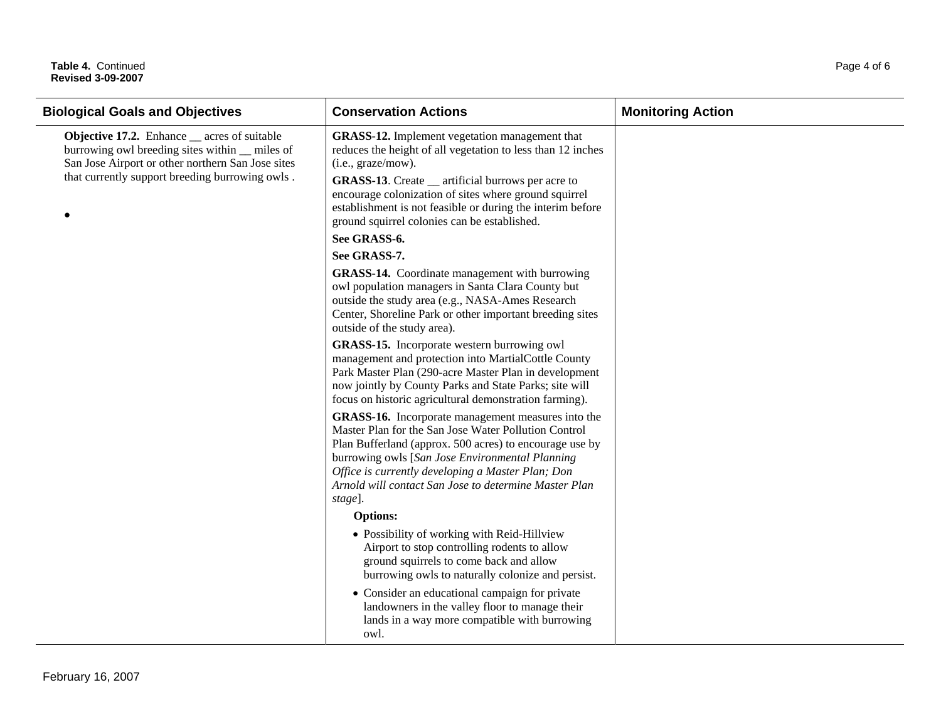## Table 4. Continued Page 4 of 6 **Revised 3-09-2007**

| <b>Biological Goals and Objectives</b>                                                                                                                                                                        | <b>Conservation Actions</b>                                                                                                                                                                                                                                                                                                                                                    | <b>Monitoring Action</b> |
|---------------------------------------------------------------------------------------------------------------------------------------------------------------------------------------------------------------|--------------------------------------------------------------------------------------------------------------------------------------------------------------------------------------------------------------------------------------------------------------------------------------------------------------------------------------------------------------------------------|--------------------------|
| <b>Objective 17.2.</b> Enhance __ acres of suitable<br>burrowing owl breeding sites within _ miles of<br>San Jose Airport or other northern San Jose sites<br>that currently support breeding burrowing owls. | <b>GRASS-12.</b> Implement vegetation management that<br>reduces the height of all vegetation to less than 12 inches<br>(i.e., graze/mow).<br><b>GRASS-13.</b> Create __ artificial burrows per acre to<br>encourage colonization of sites where ground squirrel<br>establishment is not feasible or during the interim before<br>ground squirrel colonies can be established. |                          |
|                                                                                                                                                                                                               | See GRASS-6.<br>See GRASS-7.                                                                                                                                                                                                                                                                                                                                                   |                          |
|                                                                                                                                                                                                               | GRASS-14. Coordinate management with burrowing<br>owl population managers in Santa Clara County but<br>outside the study area (e.g., NASA-Ames Research<br>Center, Shoreline Park or other important breeding sites<br>outside of the study area).                                                                                                                             |                          |
|                                                                                                                                                                                                               | GRASS-15. Incorporate western burrowing owl<br>management and protection into MartialCottle County<br>Park Master Plan (290-acre Master Plan in development<br>now jointly by County Parks and State Parks; site will<br>focus on historic agricultural demonstration farming).                                                                                                |                          |
|                                                                                                                                                                                                               | GRASS-16. Incorporate management measures into the<br>Master Plan for the San Jose Water Pollution Control<br>Plan Bufferland (approx. 500 acres) to encourage use by<br>burrowing owls [San Jose Environmental Planning<br>Office is currently developing a Master Plan; Don<br>Arnold will contact San Jose to determine Master Plan<br>stage].                              |                          |
|                                                                                                                                                                                                               | <b>Options:</b>                                                                                                                                                                                                                                                                                                                                                                |                          |
|                                                                                                                                                                                                               | • Possibility of working with Reid-Hillview<br>Airport to stop controlling rodents to allow<br>ground squirrels to come back and allow<br>burrowing owls to naturally colonize and persist.                                                                                                                                                                                    |                          |
|                                                                                                                                                                                                               | • Consider an educational campaign for private<br>landowners in the valley floor to manage their<br>lands in a way more compatible with burrowing<br>owl.                                                                                                                                                                                                                      |                          |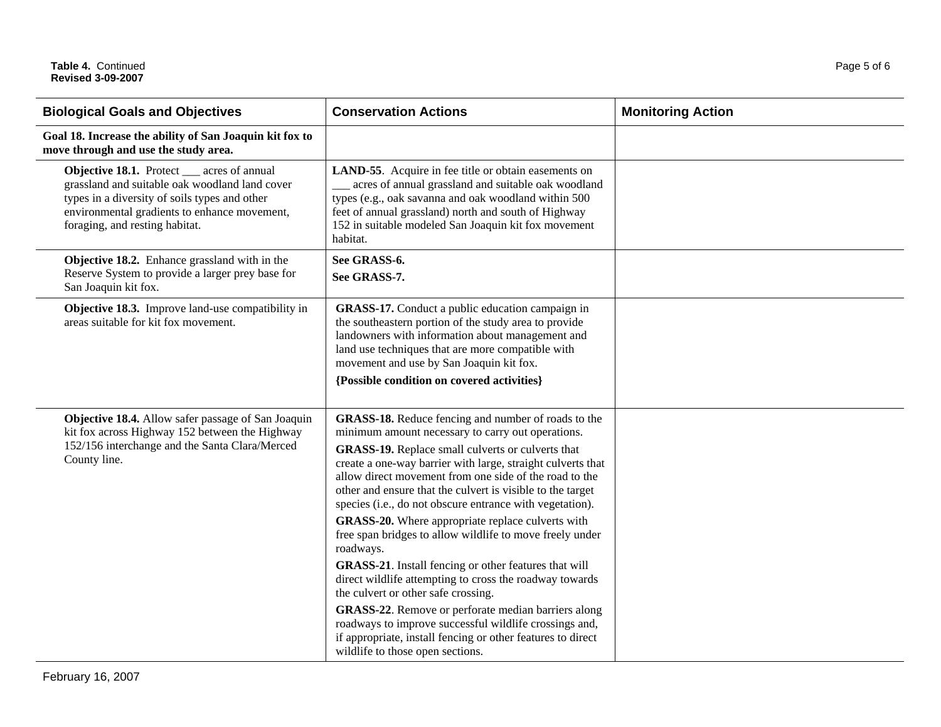| <b>Biological Goals and Objectives</b>                                                                                                                                                                                          | <b>Conservation Actions</b>                                                                                                                                                                                                                                                                                                                                                                                                                                                                                                                                                                                                                                                                                                                                                                                                                                                                                                           | <b>Monitoring Action</b> |
|---------------------------------------------------------------------------------------------------------------------------------------------------------------------------------------------------------------------------------|---------------------------------------------------------------------------------------------------------------------------------------------------------------------------------------------------------------------------------------------------------------------------------------------------------------------------------------------------------------------------------------------------------------------------------------------------------------------------------------------------------------------------------------------------------------------------------------------------------------------------------------------------------------------------------------------------------------------------------------------------------------------------------------------------------------------------------------------------------------------------------------------------------------------------------------|--------------------------|
| Goal 18. Increase the ability of San Joaquin kit fox to<br>move through and use the study area.                                                                                                                                 |                                                                                                                                                                                                                                                                                                                                                                                                                                                                                                                                                                                                                                                                                                                                                                                                                                                                                                                                       |                          |
| Objective 18.1. Protect __ acres of annual<br>grassland and suitable oak woodland land cover<br>types in a diversity of soils types and other<br>environmental gradients to enhance movement,<br>foraging, and resting habitat. | <b>LAND-55.</b> Acquire in fee title or obtain easements on<br>__ acres of annual grassland and suitable oak woodland<br>types (e.g., oak savanna and oak woodland within 500<br>feet of annual grassland) north and south of Highway<br>152 in suitable modeled San Joaquin kit fox movement<br>habitat.                                                                                                                                                                                                                                                                                                                                                                                                                                                                                                                                                                                                                             |                          |
| Objective 18.2. Enhance grassland with in the<br>Reserve System to provide a larger prey base for<br>San Joaquin kit fox.                                                                                                       | See GRASS-6.<br>See GRASS-7.                                                                                                                                                                                                                                                                                                                                                                                                                                                                                                                                                                                                                                                                                                                                                                                                                                                                                                          |                          |
| Objective 18.3. Improve land-use compatibility in<br>areas suitable for kit fox movement.                                                                                                                                       | GRASS-17. Conduct a public education campaign in<br>the southeastern portion of the study area to provide<br>landowners with information about management and<br>land use techniques that are more compatible with<br>movement and use by San Joaquin kit fox.<br>{Possible condition on covered activities}                                                                                                                                                                                                                                                                                                                                                                                                                                                                                                                                                                                                                          |                          |
| Objective 18.4. Allow safer passage of San Joaquin<br>kit fox across Highway 152 between the Highway<br>152/156 interchange and the Santa Clara/Merced<br>County line.                                                          | GRASS-18. Reduce fencing and number of roads to the<br>minimum amount necessary to carry out operations.<br>GRASS-19. Replace small culverts or culverts that<br>create a one-way barrier with large, straight culverts that<br>allow direct movement from one side of the road to the<br>other and ensure that the culvert is visible to the target<br>species (i.e., do not obscure entrance with vegetation).<br>GRASS-20. Where appropriate replace culverts with<br>free span bridges to allow wildlife to move freely under<br>roadways.<br><b>GRASS-21</b> . Install fencing or other features that will<br>direct wildlife attempting to cross the roadway towards<br>the culvert or other safe crossing.<br>GRASS-22. Remove or perforate median barriers along<br>roadways to improve successful wildlife crossings and,<br>if appropriate, install fencing or other features to direct<br>wildlife to those open sections. |                          |